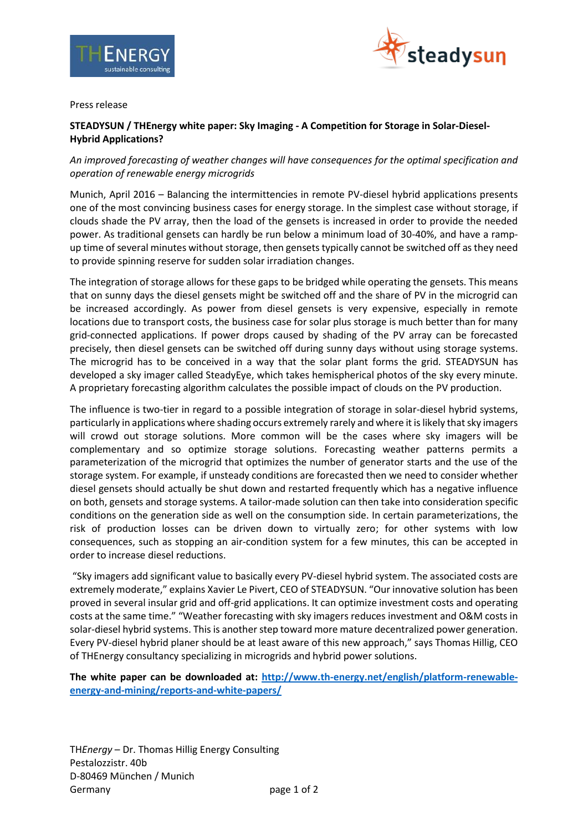



Press release

## **STEADYSUN / THEnergy white paper: Sky Imaging - A Competition for Storage in Solar-Diesel-Hybrid Applications?**

# *An improved forecasting of weather changes will have consequences for the optimal specification and operation of renewable energy microgrids*

Munich, April 2016 – Balancing the intermittencies in remote PV-diesel hybrid applications presents one of the most convincing business cases for energy storage. In the simplest case without storage, if clouds shade the PV array, then the load of the gensets is increased in order to provide the needed power. As traditional gensets can hardly be run below a minimum load of 30-40%, and have a rampup time of several minutes without storage, then gensets typically cannot be switched off as they need to provide spinning reserve for sudden solar irradiation changes.

The integration of storage allows for these gaps to be bridged while operating the gensets. This means that on sunny days the diesel gensets might be switched off and the share of PV in the microgrid can be increased accordingly. As power from diesel gensets is very expensive, especially in remote locations due to transport costs, the business case for solar plus storage is much better than for many grid-connected applications. If power drops caused by shading of the PV array can be forecasted precisely, then diesel gensets can be switched off during sunny days without using storage systems. The microgrid has to be conceived in a way that the solar plant forms the grid. STEADYSUN has developed a sky imager called SteadyEye, which takes hemispherical photos of the sky every minute. A proprietary forecasting algorithm calculates the possible impact of clouds on the PV production.

The influence is two-tier in regard to a possible integration of storage in solar-diesel hybrid systems, particularly in applications where shading occurs extremely rarely and where it is likely that sky imagers will crowd out storage solutions. More common will be the cases where sky imagers will be complementary and so optimize storage solutions. Forecasting weather patterns permits a parameterization of the microgrid that optimizes the number of generator starts and the use of the storage system. For example, if unsteady conditions are forecasted then we need to consider whether diesel gensets should actually be shut down and restarted frequently which has a negative influence on both, gensets and storage systems. A tailor-made solution can then take into consideration specific conditions on the generation side as well on the consumption side. In certain parameterizations, the risk of production losses can be driven down to virtually zero; for other systems with low consequences, such as stopping an air-condition system for a few minutes, this can be accepted in order to increase diesel reductions.

"Sky imagers add significant value to basically every PV-diesel hybrid system. The associated costs are extremely moderate," explains Xavier Le Pivert, CEO of STEADYSUN. "Our innovative solution has been proved in several insular grid and off-grid applications. It can optimize investment costs and operating costs at the same time." "Weather forecasting with sky imagers reduces investment and O&M costs in solar-diesel hybrid systems. This is another step toward more mature decentralized power generation. Every PV-diesel hybrid planer should be at least aware of this new approach," says Thomas Hillig, CEO of THEnergy consultancy specializing in microgrids and hybrid power solutions.

**The white paper can be downloaded at: [http://www.th-energy.net/english/platform-renewable](http://www.th-energy.net/english/platform-renewable-energy-and-mining/reports-and-white-papers/)[energy-and-mining/reports-and-white-papers/](http://www.th-energy.net/english/platform-renewable-energy-and-mining/reports-and-white-papers/)**